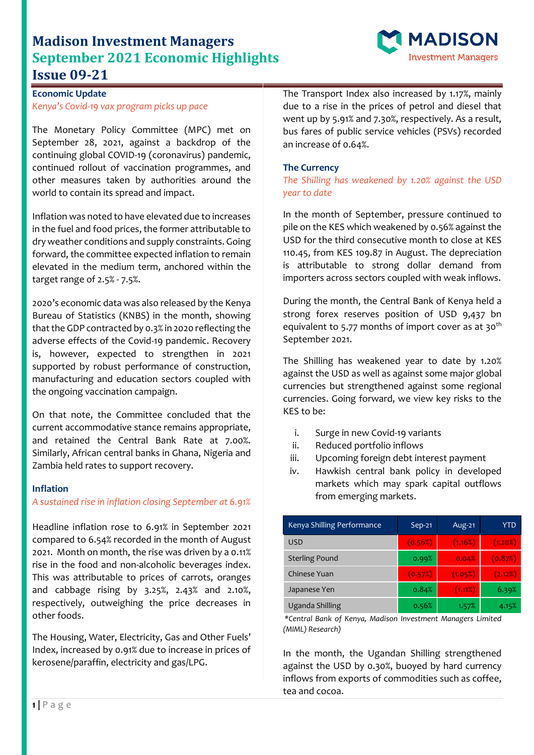# **Madison Investment Managers September 2021 Economic Highlights Issue 09-21**



## **Economic Update** *Kenya's Covid-19 vax program picks up pace*

The Monetary Policy Committee (MPC) met on September 28, 2021, against a backdrop of the continuing global COVID-19 (coronavirus) pandemic, continued rollout of vaccination programmes, and other measures taken by authorities around the world to contain its spread and impact.

Inflation was noted to have elevated due to increases in the fuel and food prices, the former attributable to dry weather conditions and supply constraints. Going forward, the committee expected inflation to remain elevated in the medium term, anchored within the target range of 2.5% - 7.5%.

2020's economic data was also released by the Kenya Bureau of Statistics (KNBS) in the month, showing that the GDP contracted by 0.3% in 2020 reflecting the adverse effects of the Covid-19 pandemic. Recovery is, however, expected to strengthen in 2021 supported by robust performance of construction, manufacturing and education sectors coupled with the ongoing vaccination campaign.

On that note, the Committee concluded that the current accommodative stance remains appropriate, and retained the Central Bank Rate at 7.00%. Similarly, African central banks in Ghana, Nigeria and Zambia held rates to support recovery.

### **Inflation**

### *A sustained rise in inflation closing September at 6.91%*

Headline inflation rose to 6.91% in September 2021 compared to 6.54% recorded in the month of August 2021. Month on month, the rise was driven by a 0.11% rise in the food and non-alcoholic beverages index. This was attributable to prices of carrots, oranges and cabbage rising by 3.25%, 2.43% and 2.10%, respectively, outweighing the price decreases in other foods.

The Housing, Water, Electricity, Gas and Other Fuels' Index, increased by 0.91% due to increase in prices of kerosene/paraffin, electricity and gas/LPG.

The Transport Index also increased by 1.17%, mainly due to a rise in the prices of petrol and diesel that went up by 5.91% and 7.30%, respectively. As a result, bus fares of public service vehicles (PSVs) recorded an increase 0f 0.64%.

### **The Currency**

*The Shilling has weakened by 1.20% against the USD year to date*

In the month of September, pressure continued to pile on the KES which weakened by 0.56% against the USD for the third consecutive month to close at KES 110.45, from KES 109.87 in August. The depreciation is attributable to strong dollar demand from importers across sectors coupled with weak inflows.

During the month, the Central Bank of Kenya held a strong forex reserves position of USD 9,437 bn equivalent to 5.77 months of import cover as at  $30<sup>th</sup>$ September 2021.

The Shilling has weakened year to date by 1.20% against the USD as well as against some major global currencies but strengthened against some regional currencies. Going forward, we view key risks to the KES to be:

- i. Surge in new Covid-19 variants
- ii. Reduced portfolio inflows
- iii. Upcoming foreign debt interest payment
- iv. Hawkish central bank policy in developed markets which may spark capital outflows from emerging markets.

| Kenya Shilling Performance | $Sep-21$ | Aug-21  | YTD     |
|----------------------------|----------|---------|---------|
| USD                        | (0.56%)  | (1.16%) | (1.20%) |
| <b>Sterling Pound</b>      | 0.99%    | 0.04%   | (0.87%) |
| Chinese Yuan               | (0.57%)  | (1.05%) | (2.12%) |
| Japanese Yen               | 0.84%    | (1.11%) | 6.39%   |
| Uganda Shilling            | 0.56%    | 1.57%   | 4.15%   |

*\*Central Bank of Kenya, Madison Investment Managers Limited (MIML) Research)*

In the month, the Ugandan Shilling strengthened against the USD by 0.30%, buoyed by hard currency inflows from exports of commodities such as coffee, tea and cocoa.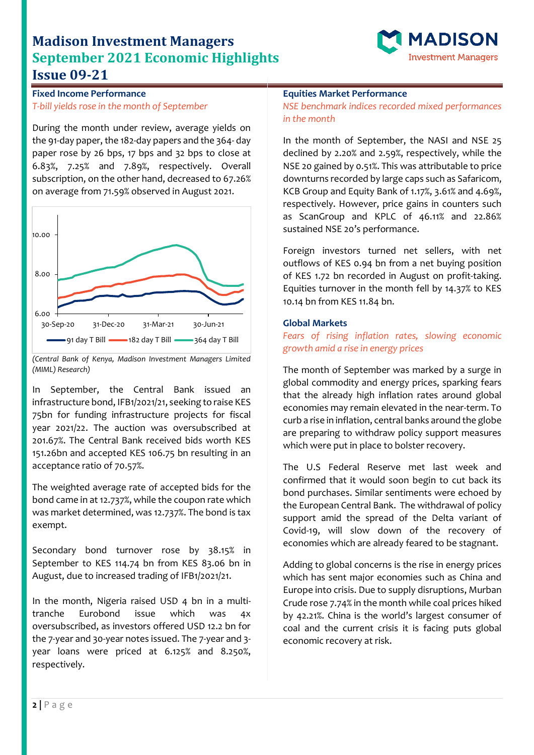# **Madison Investment Managers September 2021 Economic Highlights Issue 09-21**



**Fixed Income Performance** *T-bill yields rose in the month of September*

During the month under review, average yields on the 91-day paper, the 182-day papers and the 364- day paper rose by 26 bps, 17 bps and 32 bps to close at 6.83%, 7.25% and 7.89%, respectively. Overall subscription, on the other hand, decreased to 67.26% on average from 71.59% observed in August 2021.



*<sup>(</sup>Central Bank of Kenya, Madison Investment Managers Limited (MIML) Research)*

In September, the Central Bank issued an infrastructure bond, IFB1/2021/21, seeking to raise KES 75bn for funding infrastructure projects for fiscal year 2021/22. The auction was oversubscribed at 201.67%. The Central Bank received bids worth KES 151.26bn and accepted KES 106.75 bn resulting in an acceptance ratio of 70.57%.

The weighted average rate of accepted bids for the bond came in at 12.737%, while the coupon rate which was market determined, was 12.737%. The bond is tax exempt.

Secondary bond turnover rose by 38.15% in September to KES 114.74 bn from KES 83.06 bn in August, due to increased trading of IFB1/2021/21.

In the month, Nigeria raised USD 4 bn in a multitranche Eurobond issue which was 4x oversubscribed, as investors offered USD 12.2 bn for the 7-year and 30-year notes issued. The 7-year and 3 year loans were priced at 6.125% and 8.250%, respectively.

### **Equities Market Performance**

*NSE benchmark indices recorded mixed performances in the month*

In the month of September, the NASI and NSE 25 declined by 2.20% and 2.59%, respectively, while the NSE 20 gained by 0.51%. This was attributable to price downturns recorded by large caps such as Safaricom, KCB Group and Equity Bank of 1.17%, 3.61% and 4.69%, respectively. However, price gains in counters such as ScanGroup and KPLC of 46.11% and 22.86% sustained NSE 20's performance.

Foreign investors turned net sellers, with net outflows of KES 0.94 bn from a net buying position of KES 1.72 bn recorded in August on profit-taking. Equities turnover in the month fell by 14.37% to KES 10.14 bn from KES 11.84 bn.

#### **Global Markets**

### *Fears of rising inflation rates, slowing economic growth amid a rise in energy prices*

The month of September was marked by a surge in global commodity and energy prices, sparking fears that the already high inflation rates around global economies may remain elevated in the near-term. To curb a rise in inflation, central banks around the globe are preparing to withdraw policy support measures which were put in place to bolster recovery.

The U.S Federal Reserve met last week and confirmed that it would soon begin to cut back its bond purchases. Similar sentiments were echoed by the European Central Bank. The withdrawal of policy support amid the spread of the Delta variant of Covid-19, will slow down of the recovery of economies which are already feared to be stagnant.

Adding to global concerns is the rise in energy prices which has sent major economies such as China and Europe into crisis. Due to supply disruptions, Murban Crude rose 7.74% in the month while coal prices hiked by 42.21%. China is the world's largest consumer of coal and the current crisis it is facing puts global economic recovery at risk.